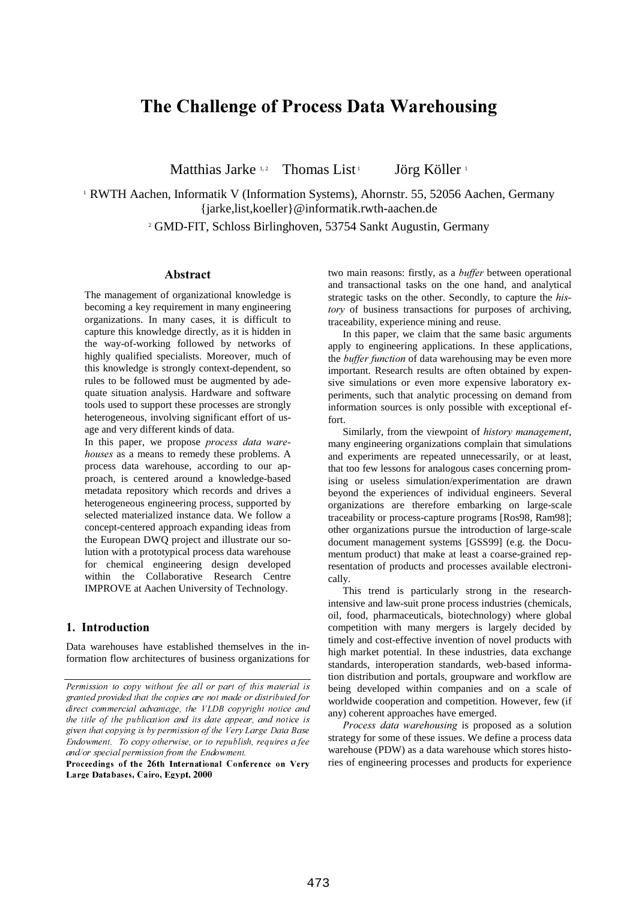# The Challenge of Process Data Warehousing

Matthias Jarke  $1, 2$  Thomas List  $1$  Jörg Köller 1

<sup>1</sup> RWTH Aachen, Informatik V (Information Systems), Ahornstr. 55, 52056 Aachen, Germany {jarke,list,koeller}@informatik.rwth-aachen.de

2 GMD-FIT, Schloss Birlinghoven, 53754 Sankt Augustin, Germany

## Abstract

The management of organizational knowledge is becoming a key requirement in many engineering organizations. In many cases, it is difficult to capture this knowledge directly, as it is hidden in the way-of-working followed by networks of highly qualified specialists. Moreover, much of this knowledge is strongly context-dependent, so rules to be followed must be augmented by adequate situation analysis. Hardware and software tools used to support these processes are strongly heterogeneous, involving significant effort of usage and very different kinds of data.

In this paper, we propose process data warehouses as a means to remedy these problems. A process data warehouse, according to our approach, is centered around a knowledge-based metadata repository which records and drives a heterogeneous engineering process, supported by selected materialized instance data. We follow a concept-centered approach expanding ideas from the European DWQ project and illustrate our solution with a prototypical process data warehouse for chemical engineering design developed within the Collaborative Research Centre IMPROVE at Aachen University of Technology.

# 1. Introduction

Data warehouses have established themselves in the information flow architectures of business organizations for two main reasons: firstly, as a buffer between operational and transactional tasks on the one hand, and analytical strategic tasks on the other. Secondly, to capture the *his*tory of business transactions for purposes of archiving, traceability, experience mining and reuse.

In this paper, we claim that the same basic arguments apply to engineering applications. In these applications, the *buffer function* of data warehousing may be even more important. Research results are often obtained by expensive simulations or even more expensive laboratory experiments, such that analytic processing on demand from information sources is only possible with exceptional effort.

Similarly, from the viewpoint of *history management*, many engineering organizations complain that simulations and experiments are repeated unnecessarily, or at least, that too few lessons for analogous cases concerning promising or useless simulation/experimentation are drawn beyond the experiences of individual engineers. Several organizations are therefore embarking on large-scale traceability or process-capture programs [Ros98, Ram98]; other organizations pursue the introduction of large-scale document management systems [GSS99] (e.g. the Documentum product) that make at least a coarse-grained representation of products and processes available electronically.

This trend is particularly strong in the researchintensive and law-suit prone process industries (chemicals, oil, food, pharmaceuticals, biotechnology) where global competition with many mergers is largely decided by timely and cost-effective invention of novel products with high market potential. In these industries, data exchange standards, interoperation standards, web-based information distribution and portals, groupware and workflow are being developed within companies and on a scale of worldwide cooperation and competition. However, few (if any) coherent approaches have emerged.

Process data warehousing is proposed as a solution strategy for some of these issues. We define a process data warehouse (PDW) as a data warehouse which stores histories of engineering processes and products for experience

Permission to copy without fee all or part of this material is granted provided that the copies are not made or distributed for  $\overline{d}$  direct commercial advantage, the VLDB copyright notice and the title of the publication and its date appear, and notice is given that copying is by permission of the Very Large Data Base  $Endowment.$  To copy otherwise, or to republish, requires a fee and/or special permission from the Endowment.

Proceedings of the 26th International Conference on Very Large Databases, Cairo, Egypt, 2000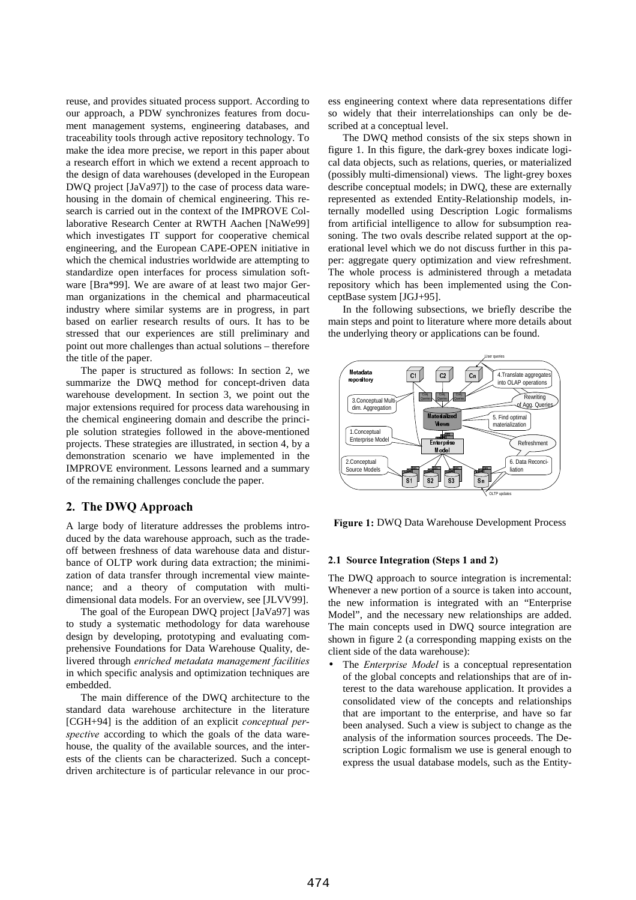reuse, and provides situated process support. According to our approach, a PDW synchronizes features from document management systems, engineering databases, and traceability tools through active repository technology. To make the idea more precise, we report in this paper about a research effort in which we extend a recent approach to the design of data warehouses (developed in the European DWQ project [JaVa97]) to the case of process data warehousing in the domain of chemical engineering. This research is carried out in the context of the IMPROVE Collaborative Research Center at RWTH Aachen [NaWe99] which investigates IT support for cooperative chemical engineering, and the European CAPE-OPEN initiative in which the chemical industries worldwide are attempting to standardize open interfaces for process simulation software [Bra\*99]. We are aware of at least two major German organizations in the chemical and pharmaceutical industry where similar systems are in progress, in part based on earlier research results of ours. It has to be stressed that our experiences are still preliminary and point out more challenges than actual solutions – therefore the title of the paper.

The paper is structured as follows: In section 2, we summarize the DWQ method for concept-driven data warehouse development. In section 3, we point out the major extensions required for process data warehousing in the chemical engineering domain and describe the principle solution strategies followed in the above-mentioned projects. These strategies are illustrated, in section 4, by a demonstration scenario we have implemented in the IMPROVE environment. Lessons learned and a summary of the remaining challenges conclude the paper.

## 2. The DWO Approach

A large body of literature addresses the problems introduced by the data warehouse approach, such as the tradeoff between freshness of data warehouse data and disturbance of OLTP work during data extraction; the minimization of data transfer through incremental view maintenance; and a theory of computation with multidimensional data models. For an overview, see [JLVV99].

The goal of the European DWQ project [JaVa97] was to study a systematic methodology for data warehouse design by developing, prototyping and evaluating comprehensive Foundations for Data Warehouse Quality, delivered through enriched metadata management facilities in which specific analysis and optimization techniques are embedded.

The main difference of the DWQ architecture to the standard data warehouse architecture in the literature [CGH+94] is the addition of an explicit *conceptual per*spective according to which the goals of the data warehouse, the quality of the available sources, and the interests of the clients can be characterized. Such a conceptdriven architecture is of particular relevance in our process engineering context where data representations differ so widely that their interrelationships can only be described at a conceptual level.

The DWQ method consists of the six steps shown in figure 1. In this figure, the dark-grey boxes indicate logical data objects, such as relations, queries, or materialized (possibly multi-dimensional) views. The light-grey boxes describe conceptual models; in DWQ, these are externally represented as extended Entity-Relationship models, internally modelled using Description Logic formalisms from artificial intelligence to allow for subsumption reasoning. The two ovals describe related support at the operational level which we do not discuss further in this paper: aggregate query optimization and view refreshment. The whole process is administered through a metadata repository which has been implemented using the ConceptBase system [JGJ+95].

In the following subsections, we briefly describe the main steps and point to literature where more details about the underlying theory or applications can be found.



**Figure 1: DWO Data Warehouse Development Process** 

#### 2.1 Source Integration (Steps 1 and 2)

The DWQ approach to source integration is incremental: Whenever a new portion of a source is taken into account, the new information is integrated with an "Enterprise Model", and the necessary new relationships are added. The main concepts used in DWQ source integration are shown in figure 2 (a corresponding mapping exists on the client side of the data warehouse):

The *Enterprise Model* is a conceptual representation of the global concepts and relationships that are of interest to the data warehouse application. It provides a consolidated view of the concepts and relationships that are important to the enterprise, and have so far been analysed. Such a view is subject to change as the analysis of the information sources proceeds. The Description Logic formalism we use is general enough to express the usual database models, such as the Entity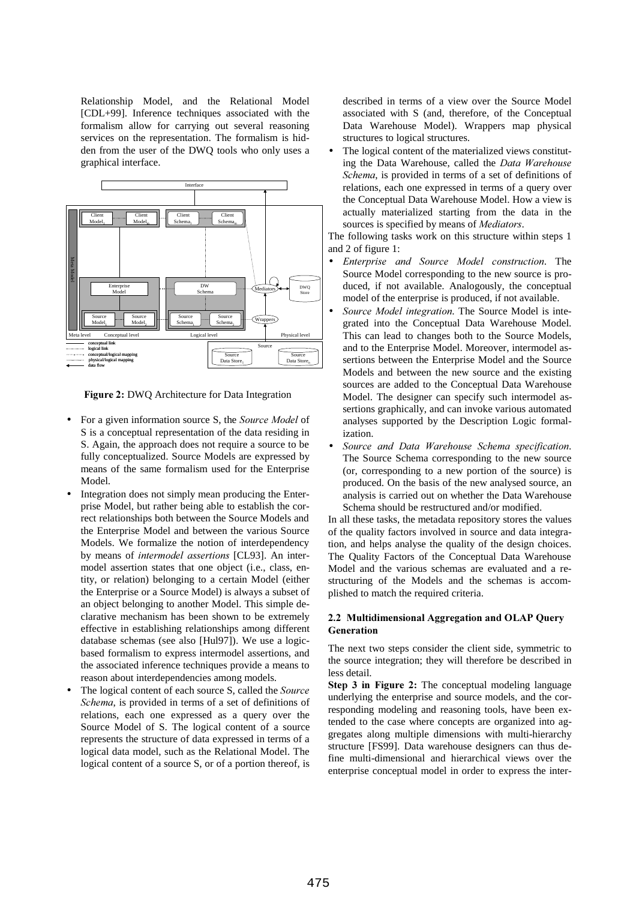Relationship Model, and the Relational Model [CDL+99]. Inference techniques associated with the formalism allow for carrying out several reasoning services on the representation. The formalism is hidden from the user of the DWQ tools who only uses a graphical interface.



Figure 2: DWQ Architecture for Data Integration

- For a given information source S, the *Source Model* of S is a conceptual representation of the data residing in S. Again, the approach does not require a source to be fully conceptualized. Source Models are expressed by means of the same formalism used for the Enterprise Model.
- Integration does not simply mean producing the Enterprise Model, but rather being able to establish the correct relationships both between the Source Models and the Enterprise Model and between the various Source Models. We formalize the notion of interdependency by means of intermodel assertions [CL93]. An intermodel assertion states that one object (i.e., class, entity, or relation) belonging to a certain Model (either the Enterprise or a Source Model) is always a subset of an object belonging to another Model. This simple declarative mechanism has been shown to be extremely effective in establishing relationships among different database schemas (see also [Hul97]). We use a logicbased formalism to express intermodel assertions, and the associated inference techniques provide a means to reason about interdependencies among models.
- The logical content of each source S, called the *Source* Schema, is provided in terms of a set of definitions of relations, each one expressed as a query over the Source Model of S. The logical content of a source represents the structure of data expressed in terms of a logical data model, such as the Relational Model. The logical content of a source S, or of a portion thereof, is

described in terms of a view over the Source Model associated with S (and, therefore, of the Conceptual Data Warehouse Model). Wrappers map physical structures to logical structures.

The logical content of the materialized views constituting the Data Warehouse, called the Data Warehouse Schema, is provided in terms of a set of definitions of relations, each one expressed in terms of a query over the Conceptual Data Warehouse Model. How a view is actually materialized starting from the data in the sources is specified by means of Mediators.

The following tasks work on this structure within steps 1 and 2 of figure 1:

- Enterprise and Source Model construction. The Source Model corresponding to the new source is produced, if not available. Analogously, the conceptual model of the enterprise is produced, if not available.
- Source Model integration. The Source Model is integrated into the Conceptual Data Warehouse Model. This can lead to changes both to the Source Models, and to the Enterprise Model. Moreover, intermodel assertions between the Enterprise Model and the Source Models and between the new source and the existing sources are added to the Conceptual Data Warehouse Model. The designer can specify such intermodel assertions graphically, and can invoke various automated analyses supported by the Description Logic formalization.
- Source and Data Warehouse Schema specification. The Source Schema corresponding to the new source (or, corresponding to a new portion of the source) is produced. On the basis of the new analysed source, an analysis is carried out on whether the Data Warehouse Schema should be restructured and/or modified.

In all these tasks, the metadata repository stores the values of the quality factors involved in source and data integration, and helps analyse the quality of the design choices. The Quality Factors of the Conceptual Data Warehouse Model and the various schemas are evaluated and a restructuring of the Models and the schemas is accomplished to match the required criteria.

#### 2.2 Multidimensional Aggregation and OLAP Query Generation

The next two steps consider the client side, symmetric to the source integration; they will therefore be described in less detail.

Step 3 in Figure 2: The conceptual modeling language underlying the enterprise and source models, and the corresponding modeling and reasoning tools, have been extended to the case where concepts are organized into aggregates along multiple dimensions with multi-hierarchy structure [FS99]. Data warehouse designers can thus define multi-dimensional and hierarchical views over the enterprise conceptual model in order to express the inter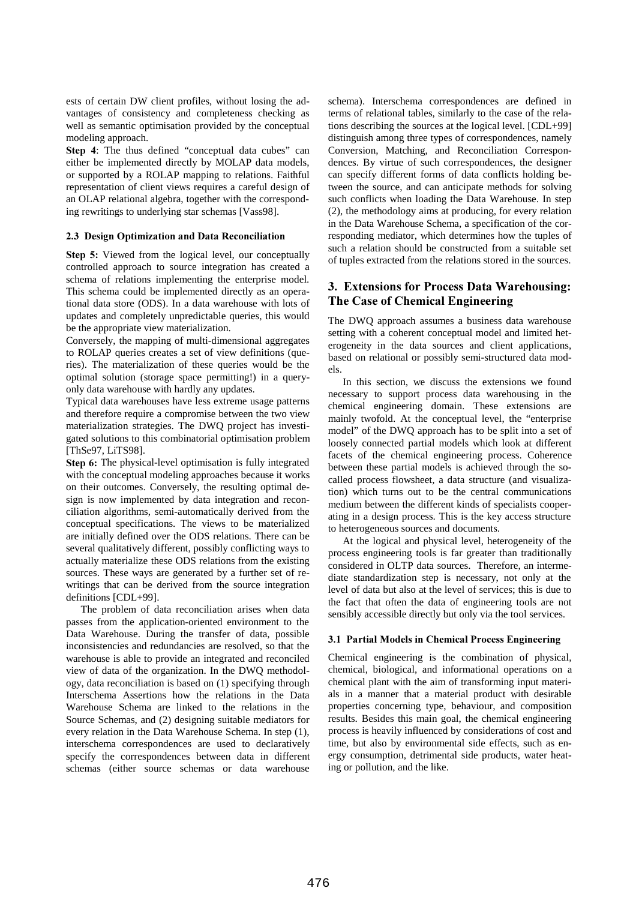ests of certain DW client profiles, without losing the advantages of consistency and completeness checking as well as semantic optimisation provided by the conceptual modeling approach.

Step 4: The thus defined "conceptual data cubes" can either be implemented directly by MOLAP data models, or supported by a ROLAP mapping to relations. Faithful representation of client views requires a careful design of an OLAP relational algebra, together with the corresponding rewritings to underlying star schemas [Vass98].

#### 2.3 Design Optimization and Data Reconciliation

**Step 5:** Viewed from the logical level, our conceptually controlled approach to source integration has created a schema of relations implementing the enterprise model. This schema could be implemented directly as an operational data store (ODS). In a data warehouse with lots of updates and completely unpredictable queries, this would be the appropriate view materialization.

Conversely, the mapping of multi-dimensional aggregates to ROLAP queries creates a set of view definitions (queries). The materialization of these queries would be the optimal solution (storage space permitting!) in a queryonly data warehouse with hardly any updates.

Typical data warehouses have less extreme usage patterns and therefore require a compromise between the two view materialization strategies. The DWQ project has investigated solutions to this combinatorial optimisation problem [ThSe97, LiTS98].

**Step 6:** The physical-level optimisation is fully integrated with the conceptual modeling approaches because it works on their outcomes. Conversely, the resulting optimal design is now implemented by data integration and reconciliation algorithms, semi-automatically derived from the conceptual specifications. The views to be materialized are initially defined over the ODS relations. There can be several qualitatively different, possibly conflicting ways to actually materialize these ODS relations from the existing sources. These ways are generated by a further set of rewritings that can be derived from the source integration definitions [CDL+99].

The problem of data reconciliation arises when data passes from the application-oriented environment to the Data Warehouse. During the transfer of data, possible inconsistencies and redundancies are resolved, so that the warehouse is able to provide an integrated and reconciled view of data of the organization. In the DWQ methodology, data reconciliation is based on (1) specifying through Interschema Assertions how the relations in the Data Warehouse Schema are linked to the relations in the Source Schemas, and (2) designing suitable mediators for every relation in the Data Warehouse Schema. In step (1), interschema correspondences are used to declaratively specify the correspondences between data in different schemas (either source schemas or data warehouse

schema). Interschema correspondences are defined in terms of relational tables, similarly to the case of the relations describing the sources at the logical level. [CDL+99] distinguish among three types of correspondences, namely Conversion, Matching, and Reconciliation Correspondences. By virtue of such correspondences, the designer can specify different forms of data conflicts holding between the source, and can anticipate methods for solving such conflicts when loading the Data Warehouse. In step (2), the methodology aims at producing, for every relation in the Data Warehouse Schema, a specification of the corresponding mediator, which determines how the tuples of such a relation should be constructed from a suitable set of tuples extracted from the relations stored in the sources.

# 3. Extensions for Process Data Warehousing: The Case of Chemical Engineering

The DWQ approach assumes a business data warehouse setting with a coherent conceptual model and limited heterogeneity in the data sources and client applications, based on relational or possibly semi-structured data models.

In this section, we discuss the extensions we found necessary to support process data warehousing in the chemical engineering domain. These extensions are mainly twofold. At the conceptual level, the "enterprise model" of the DWQ approach has to be split into a set of loosely connected partial models which look at different facets of the chemical engineering process. Coherence between these partial models is achieved through the socalled process flowsheet, a data structure (and visualization) which turns out to be the central communications medium between the different kinds of specialists cooperating in a design process. This is the key access structure to heterogeneous sources and documents.

At the logical and physical level, heterogeneity of the process engineering tools is far greater than traditionally considered in OLTP data sources. Therefore, an intermediate standardization step is necessary, not only at the level of data but also at the level of services; this is due to the fact that often the data of engineering tools are not sensibly accessible directly but only via the tool services.

#### 3.1 Partial Models in Chemical Process Engineering

Chemical engineering is the combination of physical, chemical, biological, and informational operations on a chemical plant with the aim of transforming input materials in a manner that a material product with desirable properties concerning type, behaviour, and composition results. Besides this main goal, the chemical engineering process is heavily influenced by considerations of cost and time, but also by environmental side effects, such as energy consumption, detrimental side products, water heating or pollution, and the like.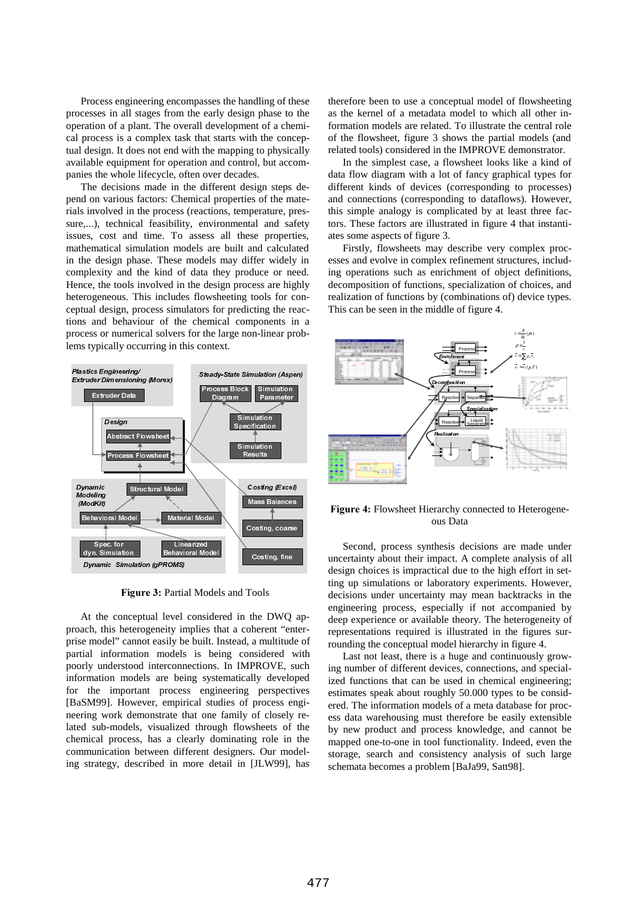Process engineering encompasses the handling of these processes in all stages from the early design phase to the operation of a plant. The overall development of a chemical process is a complex task that starts with the conceptual design. It does not end with the mapping to physically available equipment for operation and control, but accompanies the whole lifecycle, often over decades.

The decisions made in the different design steps depend on various factors: Chemical properties of the materials involved in the process (reactions, temperature, pressure,...), technical feasibility, environmental and safety issues, cost and time. To assess all these properties, mathematical simulation models are built and calculated in the design phase. These models may differ widely in complexity and the kind of data they produce or need. Hence, the tools involved in the design process are highly heterogeneous. This includes flowsheeting tools for conceptual design, process simulators for predicting the reactions and behaviour of the chemical components in a process or numerical solvers for the large non-linear problems typically occurring in this context.



Figure 3: Partial Models and Tools

At the conceptual level considered in the DWQ approach, this heterogeneity implies that a coherent "enterprise model" cannot easily be built. Instead, a multitude of partial information models is being considered with poorly understood interconnections. In IMPROVE, such information models are being systematically developed for the important process engineering perspectives [BaSM99]. However, empirical studies of process engineering work demonstrate that one family of closely related sub-models, visualized through flowsheets of the chemical process, has a clearly dominating role in the communication between different designers. Our modeling strategy, described in more detail in [JLW99], has

therefore been to use a conceptual model of flowsheeting as the kernel of a metadata model to which all other information models are related. To illustrate the central role of the flowsheet, figure 3 shows the partial models (and related tools) considered in the IMPROVE demonstrator.

In the simplest case, a flowsheet looks like a kind of data flow diagram with a lot of fancy graphical types for different kinds of devices (corresponding to processes) and connections (corresponding to dataflows). However, this simple analogy is complicated by at least three factors. These factors are illustrated in figure 4 that instantiates some aspects of figure 3.

Firstly, flowsheets may describe very complex processes and evolve in complex refinement structures, including operations such as enrichment of object definitions, decomposition of functions, specialization of choices, and realization of functions by (combinations of) device types. This can be seen in the middle of figure 4.



#### Figure 4: Flowsheet Hierarchy connected to Heterogeneous Data

Second, process synthesis decisions are made under uncertainty about their impact. A complete analysis of all design choices is impractical due to the high effort in setting up simulations or laboratory experiments. However, decisions under uncertainty may mean backtracks in the engineering process, especially if not accompanied by deep experience or available theory. The heterogeneity of representations required is illustrated in the figures surrounding the conceptual model hierarchy in figure 4.

Last not least, there is a huge and continuously growing number of different devices, connections, and specialized functions that can be used in chemical engineering; estimates speak about roughly 50.000 types to be considered. The information models of a meta database for process data warehousing must therefore be easily extensible by new product and process knowledge, and cannot be mapped one-to-one in tool functionality. Indeed, even the storage, search and consistency analysis of such large schemata becomes a problem [BaJa99, Satt98].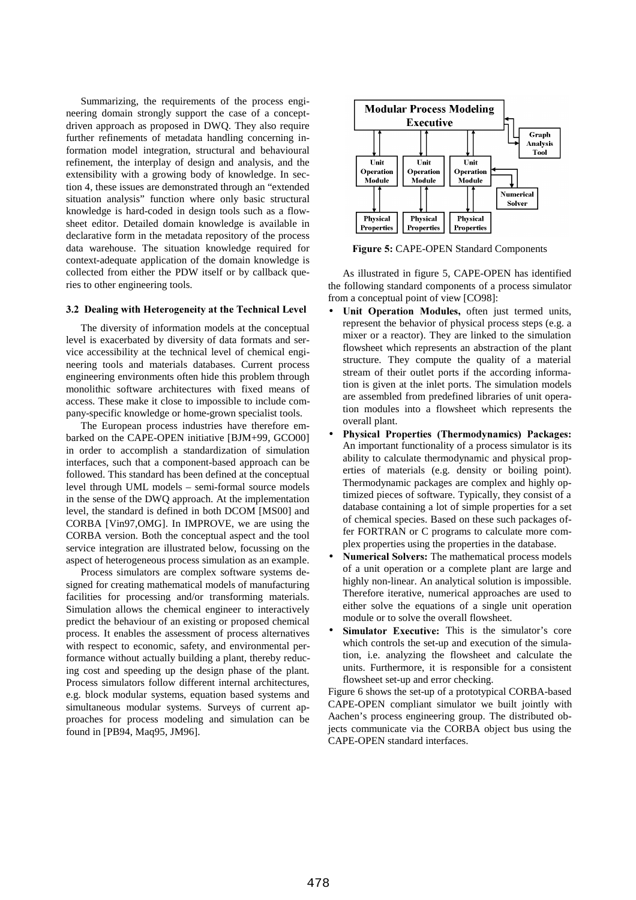Summarizing, the requirements of the process engineering domain strongly support the case of a conceptdriven approach as proposed in DWQ. They also require further refinements of metadata handling concerning information model integration, structural and behavioural refinement, the interplay of design and analysis, and the extensibility with a growing body of knowledge. In section 4, these issues are demonstrated through an "extended situation analysis" function where only basic structural knowledge is hard-coded in design tools such as a flowsheet editor. Detailed domain knowledge is available in declarative form in the metadata repository of the process data warehouse. The situation knowledge required for context-adequate application of the domain knowledge is collected from either the PDW itself or by callback queries to other engineering tools.

#### 3.2 Dealing with Heterogeneity at the Technical Level

The diversity of information models at the conceptual level is exacerbated by diversity of data formats and service accessibility at the technical level of chemical engineering tools and materials databases. Current process engineering environments often hide this problem through monolithic software architectures with fixed means of access. These make it close to impossible to include company-specific knowledge or home-grown specialist tools.

The European process industries have therefore embarked on the CAPE-OPEN initiative [BJM+99, GCO00] in order to accomplish a standardization of simulation interfaces, such that a component-based approach can be followed. This standard has been defined at the conceptual level through UML models – semi-formal source models in the sense of the DWQ approach. At the implementation level, the standard is defined in both DCOM [MS00] and CORBA [Vin97,OMG]. In IMPROVE, we are using the CORBA version. Both the conceptual aspect and the tool service integration are illustrated below, focussing on the aspect of heterogeneous process simulation as an example.

Process simulators are complex software systems designed for creating mathematical models of manufacturing facilities for processing and/or transforming materials. Simulation allows the chemical engineer to interactively predict the behaviour of an existing or proposed chemical process. It enables the assessment of process alternatives with respect to economic, safety, and environmental performance without actually building a plant, thereby reducing cost and speeding up the design phase of the plant. Process simulators follow different internal architectures, e.g. block modular systems, equation based systems and simultaneous modular systems. Surveys of current approaches for process modeling and simulation can be found in [PB94, Maq95, JM96].



Figure 5: CAPE-OPEN Standard Components

As illustrated in figure 5, CAPE-OPEN has identified the following standard components of a process simulator from a conceptual point of view [CO98]:

- Unit Operation Modules, often just termed units, represent the behavior of physical process steps (e.g. a mixer or a reactor). They are linked to the simulation flowsheet which represents an abstraction of the plant structure. They compute the quality of a material stream of their outlet ports if the according information is given at the inlet ports. The simulation models are assembled from predefined libraries of unit operation modules into a flowsheet which represents the overall plant.
- Physical Properties (Thermodynamics) Packages: An important functionality of a process simulator is its ability to calculate thermodynamic and physical properties of materials (e.g. density or boiling point). Thermodynamic packages are complex and highly optimized pieces of software. Typically, they consist of a database containing a lot of simple properties for a set of chemical species. Based on these such packages offer FORTRAN or C programs to calculate more complex properties using the properties in the database.
- Numerical Solvers: The mathematical process models of a unit operation or a complete plant are large and highly non-linear. An analytical solution is impossible. Therefore iterative, numerical approaches are used to either solve the equations of a single unit operation module or to solve the overall flowsheet.
- **Simulator Executive:** This is the simulator's core which controls the set-up and execution of the simulation, i.e. analyzing the flowsheet and calculate the units. Furthermore, it is responsible for a consistent flowsheet set-up and error checking.

Figure 6 shows the set-up of a prototypical CORBA-based CAPE-OPEN compliant simulator we built jointly with Aachen's process engineering group. The distributed objects communicate via the CORBA object bus using the CAPE-OPEN standard interfaces.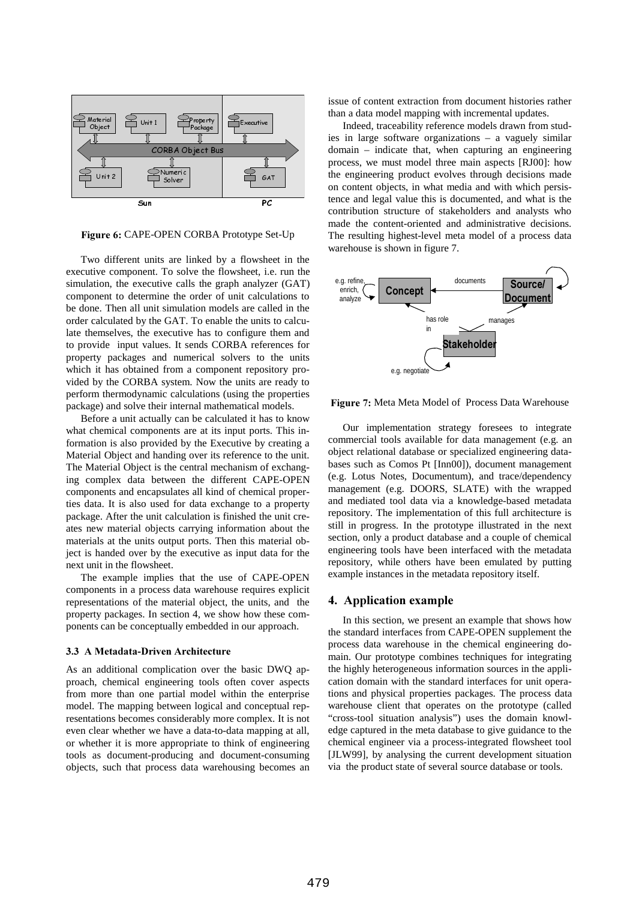

Figure 6: CAPE-OPEN CORBA Prototype Set-Up

Two different units are linked by a flowsheet in the executive component. To solve the flowsheet, i.e. run the simulation, the executive calls the graph analyzer (GAT) component to determine the order of unit calculations to be done. Then all unit simulation models are called in the order calculated by the GAT. To enable the units to calculate themselves, the executive has to configure them and to provide input values. It sends CORBA references for property packages and numerical solvers to the units which it has obtained from a component repository provided by the CORBA system. Now the units are ready to perform thermodynamic calculations (using the properties package) and solve their internal mathematical models.

Before a unit actually can be calculated it has to know what chemical components are at its input ports. This information is also provided by the Executive by creating a Material Object and handing over its reference to the unit. The Material Object is the central mechanism of exchanging complex data between the different CAPE-OPEN components and encapsulates all kind of chemical properties data. It is also used for data exchange to a property package. After the unit calculation is finished the unit creates new material objects carrying information about the materials at the units output ports. Then this material object is handed over by the executive as input data for the next unit in the flowsheet.

The example implies that the use of CAPE-OPEN components in a process data warehouse requires explicit representations of the material object, the units, and the property packages. In section 4, we show how these components can be conceptually embedded in our approach.

#### 3.3 A Metadata-Driven Architecture

As an additional complication over the basic DWQ approach, chemical engineering tools often cover aspects from more than one partial model within the enterprise model. The mapping between logical and conceptual representations becomes considerably more complex. It is not even clear whether we have a data-to-data mapping at all, or whether it is more appropriate to think of engineering tools as document-producing and document-consuming objects, such that process data warehousing becomes an

issue of content extraction from document histories rather than a data model mapping with incremental updates.

Indeed, traceability reference models drawn from studies in large software organizations – a vaguely similar domain – indicate that, when capturing an engineering process, we must model three main aspects [RJ00]: how the engineering product evolves through decisions made on content objects, in what media and with which persistence and legal value this is documented, and what is the contribution structure of stakeholders and analysts who made the content-oriented and administrative decisions. The resulting highest-level meta model of a process data warehouse is shown in figure 7.



Figure 7: Meta Meta Model of Process Data Warehouse

Our implementation strategy foresees to integrate commercial tools available for data management (e.g. an object relational database or specialized engineering databases such as Comos Pt [Inn00]), document management (e.g. Lotus Notes, Documentum), and trace/dependency management (e.g. DOORS, SLATE) with the wrapped and mediated tool data via a knowledge-based metadata repository. The implementation of this full architecture is still in progress. In the prototype illustrated in the next section, only a product database and a couple of chemical engineering tools have been interfaced with the metadata repository, while others have been emulated by putting example instances in the metadata repository itself.

#### 4. Application example

In this section, we present an example that shows how the standard interfaces from CAPE-OPEN supplement the process data warehouse in the chemical engineering domain. Our prototype combines techniques for integrating the highly heterogeneous information sources in the application domain with the standard interfaces for unit operations and physical properties packages. The process data warehouse client that operates on the prototype (called "cross-tool situation analysis") uses the domain knowledge captured in the meta database to give guidance to the chemical engineer via a process-integrated flowsheet tool [JLW99], by analysing the current development situation via the product state of several source database or tools.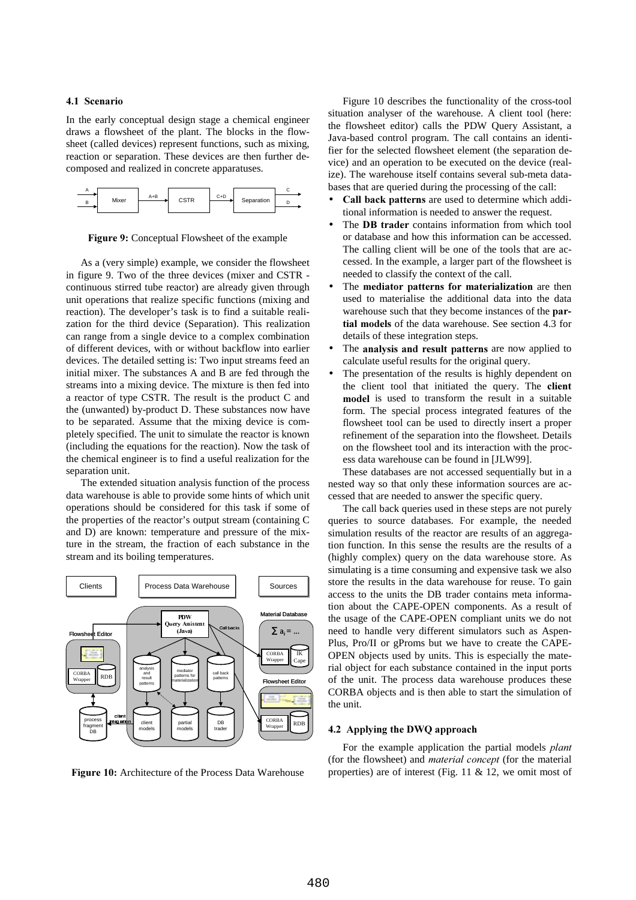#### 4.1 Scenario

In the early conceptual design stage a chemical engineer draws a flowsheet of the plant. The blocks in the flowsheet (called devices) represent functions, such as mixing, reaction or separation. These devices are then further decomposed and realized in concrete apparatuses.



Figure 9: Conceptual Flowsheet of the example

As a (very simple) example, we consider the flowsheet in figure 9. Two of the three devices (mixer and CSTR continuous stirred tube reactor) are already given through unit operations that realize specific functions (mixing and reaction). The developer's task is to find a suitable realization for the third device (Separation). This realization can range from a single device to a complex combination of different devices, with or without backflow into earlier devices. The detailed setting is: Two input streams feed an initial mixer. The substances A and B are fed through the streams into a mixing device. The mixture is then fed into a reactor of type CSTR. The result is the product C and the (unwanted) by-product D. These substances now have to be separated. Assume that the mixing device is completely specified. The unit to simulate the reactor is known (including the equations for the reaction). Now the task of the chemical engineer is to find a useful realization for the separation unit.

The extended situation analysis function of the process data warehouse is able to provide some hints of which unit operations should be considered for this task if some of the properties of the reactor's output stream (containing C and D) are known: temperature and pressure of the mixture in the stream, the fraction of each substance in the stream and its boiling temperatures.



Figure 10: Architecture of the Process Data Warehouse

Figure 10 describes the functionality of the cross-tool situation analyser of the warehouse. A client tool (here: the flowsheet editor) calls the PDW Query Assistant, a Java-based control program. The call contains an identifier for the selected flowsheet element (the separation device) and an operation to be executed on the device (realize). The warehouse itself contains several sub-meta databases that are queried during the processing of the call:

- **Call back patterns** are used to determine which additional information is needed to answer the request.
- The DB trader contains information from which tool or database and how this information can be accessed. The calling client will be one of the tools that are accessed. In the example, a larger part of the flowsheet is needed to classify the context of the call.
- The mediator patterns for materialization are then used to materialise the additional data into the data warehouse such that they become instances of the partial models of the data warehouse. See section 4.3 for details of these integration steps.
- The analysis and result patterns are now applied to calculate useful results for the original query.
- The presentation of the results is highly dependent on the client tool that initiated the query. The client model is used to transform the result in a suitable form. The special process integrated features of the flowsheet tool can be used to directly insert a proper refinement of the separation into the flowsheet. Details on the flowsheet tool and its interaction with the process data warehouse can be found in [JLW99].

These databases are not accessed sequentially but in a nested way so that only these information sources are accessed that are needed to answer the specific query.

The call back queries used in these steps are not purely queries to source databases. For example, the needed simulation results of the reactor are results of an aggregation function. In this sense the results are the results of a (highly complex) query on the data warehouse store. As simulating is a time consuming and expensive task we also store the results in the data warehouse for reuse. To gain access to the units the DB trader contains meta information about the CAPE-OPEN components. As a result of the usage of the CAPE-OPEN compliant units we do not need to handle very different simulators such as Aspen-Plus, Pro/II or gProms but we have to create the CAPE-OPEN objects used by units. This is especially the material object for each substance contained in the input ports of the unit. The process data warehouse produces these CORBA objects and is then able to start the simulation of the unit.

#### 4.2 Applying the DWQ approach

For the example application the partial models *plant* (for the flowsheet) and *material concept* (for the material properties) are of interest (Fig. 11 & 12, we omit most of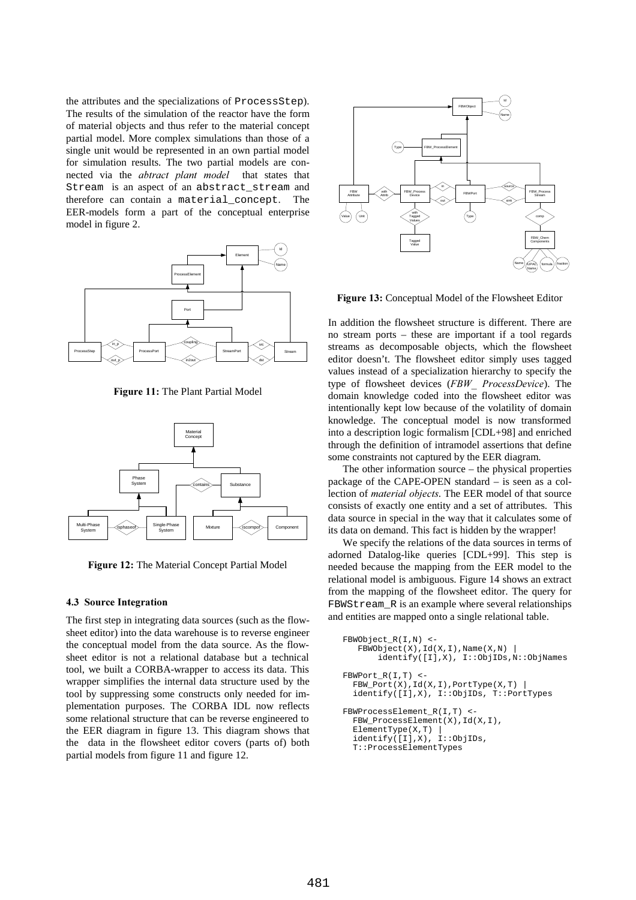the attributes and the specializations of ProcessStep). The results of the simulation of the reactor have the form of material objects and thus refer to the material concept partial model. More complex simulations than those of a single unit would be represented in an own partial model for simulation results. The two partial models are connected via the abtract plant model that states that Stream is an aspect of an abstract\_stream and therefore can contain a material\_concept. The EER-models form a part of the conceptual enterprise model in figure 2.



Figure 11: The Plant Partial Model



Figure 12: The Material Concept Partial Model

#### 4.3 Source Integration

The first step in integrating data sources (such as the flowsheet editor) into the data warehouse is to reverse engineer the conceptual model from the data source. As the flowsheet editor is not a relational database but a technical tool, we built a CORBA-wrapper to access its data. This wrapper simplifies the internal data structure used by the tool by suppressing some constructs only needed for implementation purposes. The CORBA IDL now reflects some relational structure that can be reverse engineered to the EER diagram in figure 13. This diagram shows that the data in the flowsheet editor covers (parts of) both partial models from figure 11 and figure 12.



Figure 13: Conceptual Model of the Flowsheet Editor

In addition the flowsheet structure is different. There are no stream ports – these are important if a tool regards streams as decomposable objects, which the flowsheet editor doesn't. The flowsheet editor simply uses tagged values instead of a specialization hierarchy to specify the type of flowsheet devices  $(FBW\_ProcessDevice)$ . The domain knowledge coded into the flowsheet editor was intentionally kept low because of the volatility of domain knowledge. The conceptual model is now transformed into a description logic formalism [CDL+98] and enriched through the definition of intramodel assertions that define some constraints not captured by the EER diagram.

The other information source – the physical properties package of the CAPE-OPEN standard – is seen as a collection of *material objects*. The EER model of that source consists of exactly one entity and a set of attributes. This data source in special in the way that it calculates some of its data on demand. This fact is hidden by the wrapper!

We specify the relations of the data sources in terms of adorned Datalog-like queries [CDL+99]. This step is needed because the mapping from the EER model to the relational model is ambiguous. Figure 14 shows an extract from the mapping of the flowsheet editor. The query for FBWStream\_R is an example where several relationships and entities are mapped onto a single relational table.

```
FBWObject R(I,N) <-
   FBWObject(X),Id(X,I),Name(X,N) identify([I],X), I::ObjIDs,N::ObjNames 
FBWPort_R(I,T) <- 
  FBW\_Port(X),Id(X,I),PortType(X,T) identify([I],X), I::ObjIDs, T::PortTypes 
FBWProcessElement R(I,T) <-
   FBW_ProcessElement(X),Id(X,I), 
  ElementType(X,T) |
  identity([I], X), I::ObjIBs, T::ProcessElementTypes
```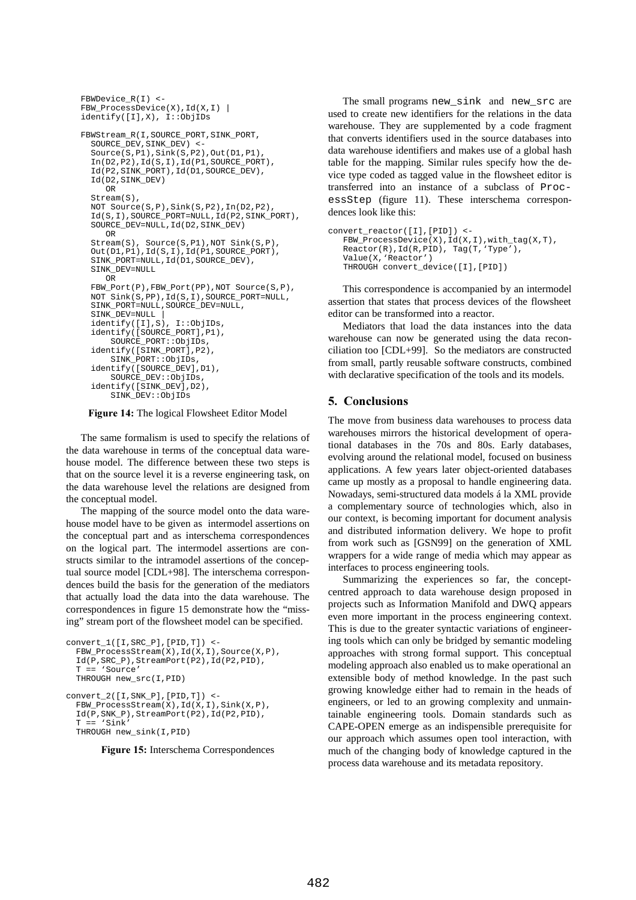```
FBWDevice R(I) <-
FBW_ProcessDevice(X),Id(X,I) |
identify([I],X), I::ObjIDs 
FBWStream_R(I,SOURCE_PORT,SINK_PORT, 
  SOURCE_DEV, SINK_DEV) <-
  Source(S, P1), Sink(S, P2), Out(D1, P1) In(D2,P2),Id(S,I),Id(P1,SOURCE_PORT), 
   Id(P2,SINK_PORT),Id(D1,SOURCE_DEV), 
   Id(D2,SINK_DEV) 
      OR 
  Stream(S).
   NOT Source(S,P),Sink(S,P2),In(D2,P2), 
   Id(S,I),SOURCE_PORT=NULL,Id(P2,SINK_PORT), 
   SOURCE_DEV=NULL,Id(D2,SINK_DEV) 
 OR 
 Stream(S), Source(S,P1),NOT Sink(S,P), 
   Out(D1,P1),Id(S,I),Id(P1,SOURCE_PORT), 
  SINK_PORT=NULL, Id(D1, SOURCE_DEV),
   SINK_DEV=NULL 
      OR 
   FBW_Port(P),FBW_Port(PP),NOT Source(S,P), 
   NOT Sink(S,PP),Id(S,I),SOURCE_PORT=NULL, 
   SINK_PORT=NULL,SOURCE_DEV=NULL, 
   SINK_DEV=NULL | 
  identity([I], S), I::ObjIB,
   identify([SOURCE_PORT],P1), 
       SOURCE_PORT::ObjIDs, 
   identify([SINK_PORT],P2), 
       SINK_PORT::ObjIDs, 
   identify([SOURCE_DEV],D1), 
       SOURCE_DEV::ObjIDs, 
   identify([SINK_DEV],D2), 
       SINK_DEV::ObjIDs
```
Figure 14: The logical Flowsheet Editor Model

The same formalism is used to specify the relations of the data warehouse in terms of the conceptual data warehouse model. The difference between these two steps is that on the source level it is a reverse engineering task, on the data warehouse level the relations are designed from the conceptual model.

The mapping of the source model onto the data warehouse model have to be given as intermodel assertions on the conceptual part and as interschema correspondences on the logical part. The intermodel assertions are constructs similar to the intramodel assertions of the conceptual source model [CDL+98]. The interschema correspondences build the basis for the generation of the mediators that actually load the data into the data warehouse. The correspondences in figure 15 demonstrate how the "missing" stream port of the flowsheet model can be specified.

```
convert 1([I,SRC P],[PID,T]) <-
  FBW ProcessStream(X), Id(X, I), Source(X, P),
   Id(P,SRC_P),StreamPort(P2),Id(P2,PID), 
   T == 'Source' 
  THROUGH new_src(I,PID) 
convert_2([I,SNK_P],[PID,T]) <- 
  FBW_ProcessStream(X),Id(X,I),Sink(X,P),
   Id(P,SNK_P),StreamPort(P2),Id(P2,PID),
```
 $T =$  'Sink' THROUGH new\_sink(I,PID)

Figure 15: Interschema Correspondences

The small programs new\_sink and new\_src are used to create new identifiers for the relations in the data warehouse. They are supplemented by a code fragment that converts identifiers used in the source databases into data warehouse identifiers and makes use of a global hash table for the mapping. Similar rules specify how the device type coded as tagged value in the flowsheet editor is transferred into an instance of a subclass of ProcessStep (figure 11). These interschema correspondences look like this:

```
convert_reactor([I],[PID]) <- 
   FBW_ProcessDevice(X),Id(X,I),with_tag(X,T),
    Reactor(R),Id(R,PID), Tag(T,'Type'), 
    Value(X,'Reactor') 
    THROUGH convert_device([I],[PID])
```
This correspondence is accompanied by an intermodel assertion that states that process devices of the flowsheet editor can be transformed into a reactor.

Mediators that load the data instances into the data warehouse can now be generated using the data reconciliation too [CDL+99]. So the mediators are constructed from small, partly reusable software constructs, combined with declarative specification of the tools and its models.

## 5. Conclusions

The move from business data warehouses to process data warehouses mirrors the historical development of operational databases in the 70s and 80s. Early databases, evolving around the relational model, focused on business applications. A few years later object-oriented databases came up mostly as a proposal to handle engineering data. Nowadays, semi-structured data models á la XML provide a complementary source of technologies which, also in our context, is becoming important for document analysis and distributed information delivery. We hope to profit from work such as [GSN99] on the generation of XML wrappers for a wide range of media which may appear as interfaces to process engineering tools.

Summarizing the experiences so far, the conceptcentred approach to data warehouse design proposed in projects such as Information Manifold and DWQ appears even more important in the process engineering context. This is due to the greater syntactic variations of engineering tools which can only be bridged by semantic modeling approaches with strong formal support. This conceptual modeling approach also enabled us to make operational an extensible body of method knowledge. In the past such growing knowledge either had to remain in the heads of engineers, or led to an growing complexity and unmaintainable engineering tools. Domain standards such as CAPE-OPEN emerge as an indispensible prerequisite for our approach which assumes open tool interaction, with much of the changing body of knowledge captured in the process data warehouse and its metadata repository.